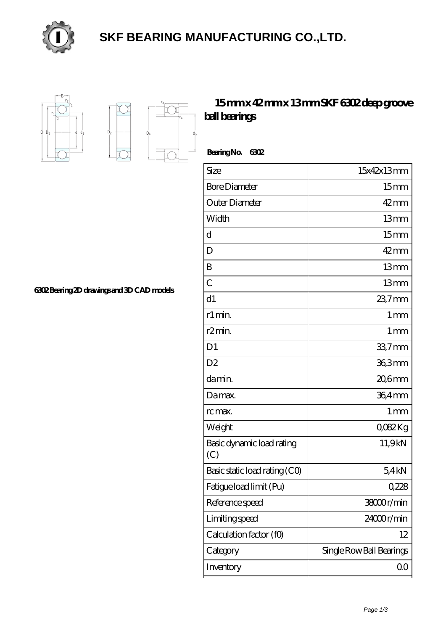

## **[SKF BEARING MANUFACTURING CO.,LTD.](https://m.mssoaandbpconference.com)**



 $D_a$ 

Ď.

## **[15 mm x 42 mm x 13 mm SKF 6302 deep groove](https://m.mssoaandbpconference.com/bs-1484-skf-6302-deep-groove-ball-bearings.html) [ball bearings](https://m.mssoaandbpconference.com/bs-1484-skf-6302-deep-groove-ball-bearings.html)**

 **Bearing No. 6302**

| Size                             | 15x42x13mm               |
|----------------------------------|--------------------------|
| <b>Bore Diameter</b>             | 15 <sub>mm</sub>         |
| Outer Diameter                   | $42 \text{mm}$           |
| Width                            | 13mm                     |
| d                                | 15 <sub>mm</sub>         |
| D                                | $42$ mm                  |
| B                                | 13mm                     |
| $\overline{C}$                   | 13mm                     |
| d1                               | 23,7mm                   |
| r1 min.                          | 1 <sub>mm</sub>          |
| r <sub>2</sub> min.              | 1 <sub>mm</sub>          |
| D <sub>1</sub>                   | $337$ mm                 |
| D <sub>2</sub>                   | 36,3mm                   |
| da min.                          | $206$ mm                 |
| Damax.                           | 36,4mm                   |
| rc max.                          | 1 <sub>mm</sub>          |
| Weight                           | QOS2Kg                   |
| Basic dynamic load rating<br>(C) | 11,9kN                   |
| Basic static load rating (CO)    | 5.4kN                    |
| Fatigue load limit (Pu)          | 0,228                    |
| Reference speed                  | 38000r/min               |
| Limiting speed                   | 24000r/min               |
| Calculation factor (f0)          | 12                       |
| Category                         | Single Row Ball Bearings |
| Inventory                        | QO                       |

**[6302 Bearing 2D drawings and 3D CAD models](https://m.mssoaandbpconference.com/pic-1484.html)**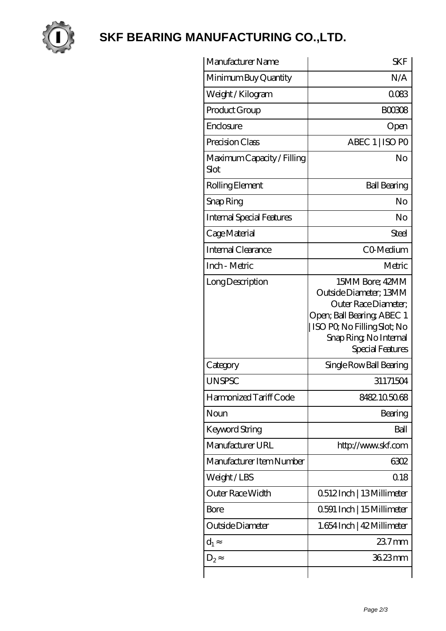

## **[SKF BEARING MANUFACTURING CO.,LTD.](https://m.mssoaandbpconference.com)**

| Manufacturer Name                  | <b>SKF</b>                                                                                                                                                                    |
|------------------------------------|-------------------------------------------------------------------------------------------------------------------------------------------------------------------------------|
| Minimum Buy Quantity               | N/A                                                                                                                                                                           |
| Weight /Kilogram                   | 0083                                                                                                                                                                          |
| Product Group                      | <b>BOO308</b>                                                                                                                                                                 |
| Enclosure                          | Open                                                                                                                                                                          |
| Precision Class                    | ABEC 1   ISO PO                                                                                                                                                               |
| Maximum Capacity / Filling<br>Slot | No                                                                                                                                                                            |
| Rolling Element                    | <b>Ball Bearing</b>                                                                                                                                                           |
| Snap Ring                          | No                                                                                                                                                                            |
| <b>Internal Special Features</b>   | No                                                                                                                                                                            |
| Cage Material                      | Steel                                                                                                                                                                         |
| Internal Clearance                 | CO-Medium                                                                                                                                                                     |
| Inch - Metric                      | Metric                                                                                                                                                                        |
| Long Description                   | 15MM Bore; 42MM<br>Outside Diameter; 13MM<br>Outer Race Diameter;<br>Open; Ball Bearing; ABEC 1<br>  ISO PQ No Filling Slot; No<br>Snap Ring, No Internal<br>Special Features |
| Category                           | Single Row Ball Bearing                                                                                                                                                       |
| <b>UNSPSC</b>                      | 31171504                                                                                                                                                                      |
| Harmonized Tariff Code             | 8482105068                                                                                                                                                                    |
| Noun                               | Bearing                                                                                                                                                                       |
| Keyword String                     | Ball                                                                                                                                                                          |
| Manufacturer URL                   | http://www.skf.com                                                                                                                                                            |
| Manufacturer Item Number           | 6302                                                                                                                                                                          |
| Weight/LBS                         | Q18                                                                                                                                                                           |
| <b>Outer Race Width</b>            | 0512Inch   13Millimeter                                                                                                                                                       |
| <b>Bore</b>                        | 0.591 Inch   15 Millimeter                                                                                                                                                    |
| Outside Diameter                   | 1.654 Inch   42 Millimeter                                                                                                                                                    |
| $d_1$                              | $237$ mm                                                                                                                                                                      |
| $D_2$                              | 36.23mm                                                                                                                                                                       |
|                                    |                                                                                                                                                                               |